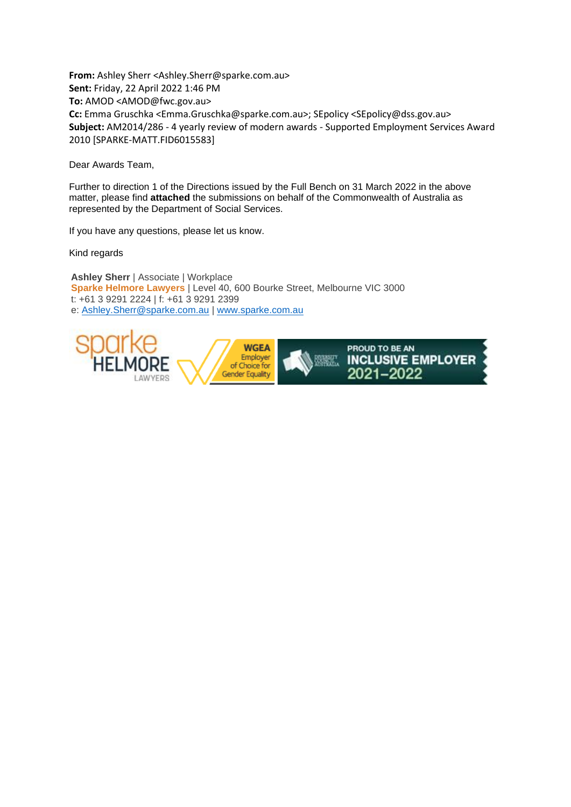**From:** Ashley Sherr <Ashley.Sherr@sparke.com.au> **Sent:** Friday, 22 April 2022 1:46 PM **To:** AMOD <AMOD@fwc.gov.au> **Cc:** Emma Gruschka <Emma.Gruschka@sparke.com.au>; SEpolicy <SEpolicy@dss.gov.au> **Subject:** AM2014/286 - 4 yearly review of modern awards - Supported Employment Services Award 2010 [SPARKE-MATT.FID6015583]

Dear Awards Team,

Further to direction 1 of the Directions issued by the Full Bench on 31 March 2022 in the above matter, please find **attached** the submissions on behalf of the Commonwealth of Australia as represented by the Department of Social Services.

If you have any questions, please let us know.

Kind regards

**Ashley Sherr** | Associate | Workplace **Sparke Helmore Lawyers** | Level 40, 600 Bourke Street, Melbourne VIC 3000 t: +61 3 9291 2224 | f: +61 3 9291 2399 e: [Ashley.Sherr@sparke.com.au](mailto:Ashley.Sherr@sparke.com.au) | [www.sparke.com.au](http://www.sparke.com.au/)

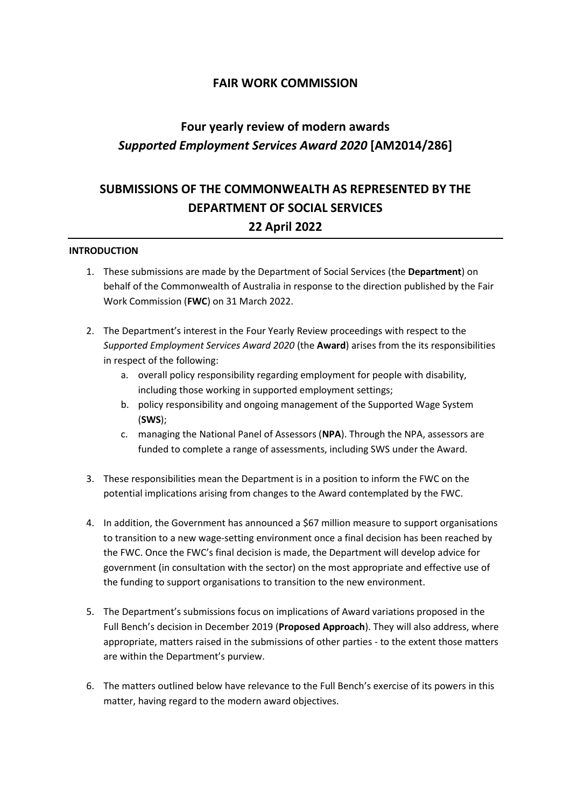### **FAIR WORK COMMISSION**

# **Four yearly review of modern awards**  *Supported Employment Services Award 2020* **[AM2014/286]**

## **SUBMISSIONS OF THE COMMONWEALTH AS REPRESENTED BY THE DEPARTMENT OF SOCIAL SERVICES 22 April 2022**

#### **INTRODUCTION**

- 1. These submissions are made by the Department of Social Services (the **Department**) on behalf of the Commonwealth of Australia in response to the direction published by the Fair Work Commission (**FWC**) on 31 March 2022.
- 2. The Department's interest in the Four Yearly Review proceedings with respect to the *Supported Employment Services Award 2020* (the **Award**) arises from the its responsibilities in respect of the following:
	- a. overall policy responsibility regarding employment for people with disability, including those working in supported employment settings;
	- b. policy responsibility and ongoing management of the Supported Wage System (**SWS**);
	- c. managing the National Panel of Assessors (**NPA**). Through the NPA, assessors are funded to complete a range of assessments, including SWS under the Award.
- 3. These responsibilities mean the Department is in a position to inform the FWC on the potential implications arising from changes to the Award contemplated by the FWC.
- 4. In addition, the Government has announced a \$67 million measure to support organisations to transition to a new wage-setting environment once a final decision has been reached by the FWC. Once the FWC's final decision is made, the Department will develop advice for government (in consultation with the sector) on the most appropriate and effective use of the funding to support organisations to transition to the new environment.
- 5. The Department's submissions focus on implications of Award variations proposed in the Full Bench's decision in December 2019 (**Proposed Approach**). They will also address, where appropriate, matters raised in the submissions of other parties - to the extent those matters are within the Department's purview.
- 6. The matters outlined below have relevance to the Full Bench's exercise of its powers in this matter, having regard to the modern award objectives.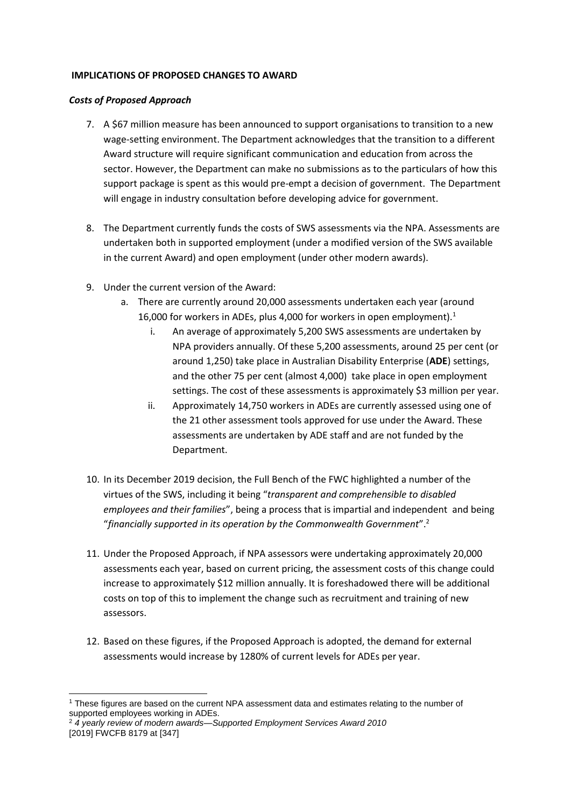#### **IMPLICATIONS OF PROPOSED CHANGES TO AWARD**

#### *Costs of Proposed Approach*

- 7. A \$67 million measure has been announced to support organisations to transition to a new wage-setting environment. The Department acknowledges that the transition to a different Award structure will require significant communication and education from across the sector. However, the Department can make no submissions as to the particulars of how this support package is spent as this would pre-empt a decision of government. The Department will engage in industry consultation before developing advice for government.
- 8. The Department currently funds the costs of SWS assessments via the NPA. Assessments are undertaken both in supported employment (under a modified version of the SWS available in the current Award) and open employment (under other modern awards).
- 9. Under the current version of the Award:
	- a. There are currently around 20,000 assessments undertaken each year (around
		- 16,000 for workers in ADEs, plus 4,000 for workers in open employment).<sup>1</sup> i. An average of approximately 5,200 SWS assessments are undertaken by NPA providers annually. Of these 5,200 assessments, around 25 per cent (or around 1,250) take place in Australian Disability Enterprise (**ADE**) settings, and the other 75 per cent (almost 4,000) take place in open employment
			- settings. The cost of these assessments is approximately \$3 million per year. ii. Approximately 14,750 workers in ADEs are currently assessed using one of the 21 other assessment tools approved for use under the Award. These assessments are undertaken by ADE staff and are not funded by the Department.
- 10. In its December 2019 decision, the Full Bench of the FWC highlighted a number of the virtues of the SWS, including it being "*transparent and comprehensible to disabled employees and their families*", being a process that is impartial and independent and being "*financially supported in its operation by the Commonwealth Government*". 2
- 11. Under the Proposed Approach, if NPA assessors were undertaking approximately 20,000 assessments each year, based on current pricing, the assessment costs of this change could increase to approximately \$12 million annually. It is foreshadowed there will be additional costs on top of this to implement the change such as recruitment and training of new assessors.
- 12. Based on these figures, if the Proposed Approach is adopted, the demand for external assessments would increase by 1280% of current levels for ADEs per year.

<sup>-</sup><sup>1</sup> These figures are based on the current NPA assessment data and estimates relating to the number of supported employees working in ADEs.

<sup>2</sup> *4 yearly review of modern awards—Supported Employment Services Award 2010* [2019] FWCFB 8179 at [347]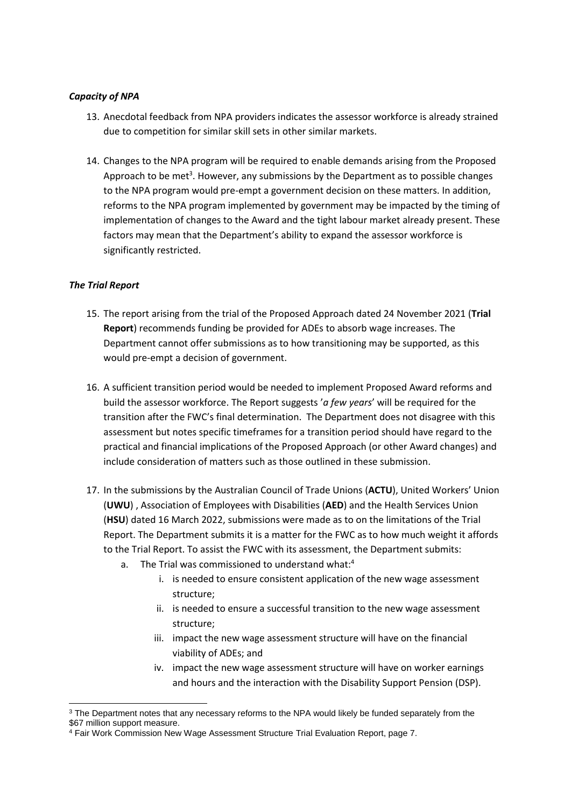#### *Capacity of NPA*

- 13. Anecdotal feedback from NPA providers indicates the assessor workforce is already strained due to competition for similar skill sets in other similar markets.
- 14. Changes to the NPA program will be required to enable demands arising from the Proposed Approach to be met<sup>3</sup>. However, any submissions by the Department as to possible changes to the NPA program would pre-empt a government decision on these matters. In addition, reforms to the NPA program implemented by government may be impacted by the timing of implementation of changes to the Award and the tight labour market already present. These factors may mean that the Department's ability to expand the assessor workforce is significantly restricted.

#### *The Trial Report*

-

- 15. The report arising from the trial of the Proposed Approach dated 24 November 2021 (**Trial Report**) recommends funding be provided for ADEs to absorb wage increases. The Department cannot offer submissions as to how transitioning may be supported, as this would pre-empt a decision of government.
- 16. A sufficient transition period would be needed to implement Proposed Award reforms and build the assessor workforce. The Report suggests '*a few years*' will be required for the transition after the FWC's final determination. The Department does not disagree with this assessment but notes specific timeframes for a transition period should have regard to the practical and financial implications of the Proposed Approach (or other Award changes) and include consideration of matters such as those outlined in these submission.
- 17. In the submissions by the Australian Council of Trade Unions (**ACTU**), United Workers' Union (**UWU**) , Association of Employees with Disabilities (**AED**) and the Health Services Union (**HSU**) dated 16 March 2022, submissions were made as to on the limitations of the Trial Report. The Department submits it is a matter for the FWC as to how much weight it affords to the Trial Report. To assist the FWC with its assessment, the Department submits:
	- a. The Trial was commissioned to understand what:<sup>4</sup>
		- i. is needed to ensure consistent application of the new wage assessment structure;
		- ii. is needed to ensure a successful transition to the new wage assessment structure;
		- iii. impact the new wage assessment structure will have on the financial viability of ADEs; and
		- iv. impact the new wage assessment structure will have on worker earnings and hours and the interaction with the Disability Support Pension (DSP).

<sup>&</sup>lt;sup>3</sup> The Department notes that any necessary reforms to the NPA would likely be funded separately from the \$67 million support measure.

<sup>4</sup> Fair Work Commission New Wage Assessment Structure Trial Evaluation Report, page 7.